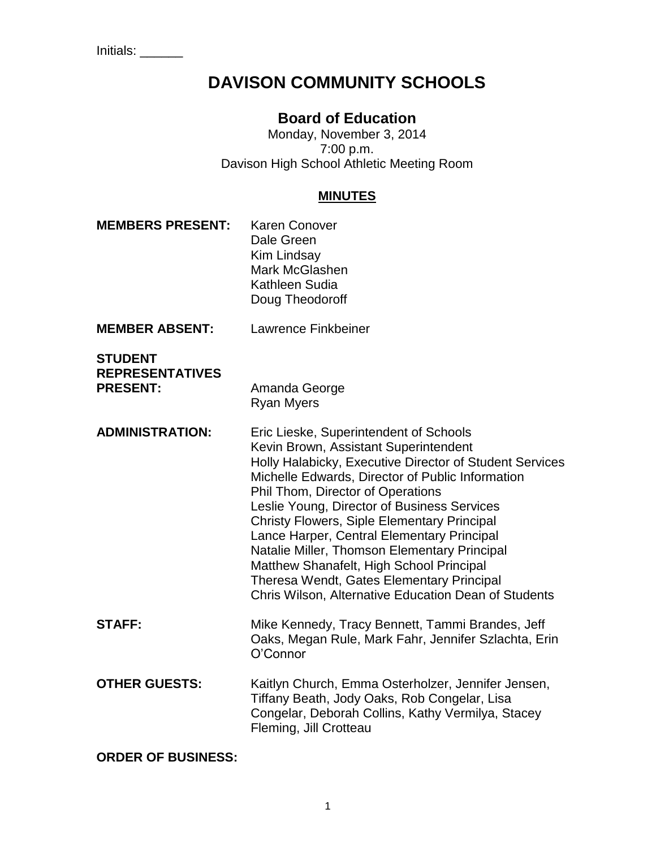# **DAVISON COMMUNITY SCHOOLS**

# **Board of Education**

Monday, November 3, 2014 7:00 p.m. Davison High School Athletic Meeting Room

#### **MINUTES**

**MEMBERS PRESENT:** Karen Conover Dale Green Kim Lindsay Mark McGlashen Kathleen Sudia Doug Theodoroff **MEMBER ABSENT:** Lawrence Finkbeiner **STUDENT REPRESENTATIVES PRESENT:** Amanda George Ryan Myers **ADMINISTRATION:** Eric Lieske, Superintendent of Schools Kevin Brown, Assistant Superintendent Holly Halabicky, Executive Director of Student Services Michelle Edwards, Director of Public Information Phil Thom, Director of Operations Leslie Young, Director of Business Services Christy Flowers, Siple Elementary Principal Lance Harper, Central Elementary Principal Natalie Miller, Thomson Elementary Principal Matthew Shanafelt, High School Principal Theresa Wendt, Gates Elementary Principal Chris Wilson, Alternative Education Dean of Students **STAFF:** Mike Kennedy, Tracy Bennett, Tammi Brandes, Jeff Oaks, Megan Rule, Mark Fahr, Jennifer Szlachta, Erin O'Connor **OTHER GUESTS:** Kaitlyn Church, Emma Osterholzer, Jennifer Jensen, Tiffany Beath, Jody Oaks, Rob Congelar, Lisa Congelar, Deborah Collins, Kathy Vermilya, Stacey Fleming, Jill Crotteau

**ORDER OF BUSINESS:**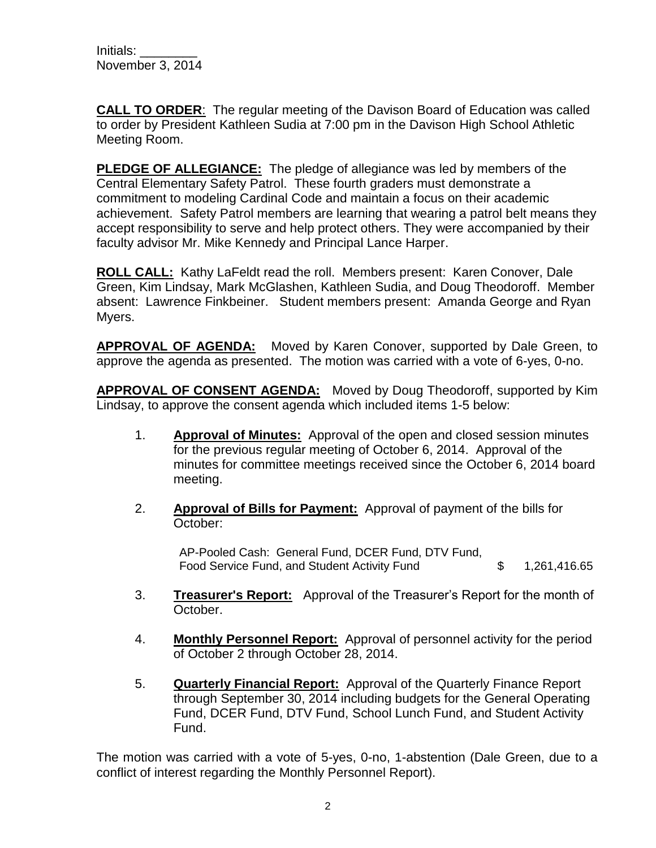**CALL TO ORDER**: The regular meeting of the Davison Board of Education was called to order by President Kathleen Sudia at 7:00 pm in the Davison High School Athletic Meeting Room.

**PLEDGE OF ALLEGIANCE:** The pledge of allegiance was led by members of the Central Elementary Safety Patrol. These fourth graders must demonstrate a commitment to modeling Cardinal Code and maintain a focus on their academic achievement. Safety Patrol members are learning that wearing a patrol belt means they accept responsibility to serve and help protect others. They were accompanied by their faculty advisor Mr. Mike Kennedy and Principal Lance Harper.

**ROLL CALL:** Kathy LaFeldt read the roll. Members present: Karen Conover, Dale Green, Kim Lindsay, Mark McGlashen, Kathleen Sudia, and Doug Theodoroff. Member absent: Lawrence Finkbeiner. Student members present: Amanda George and Ryan Myers.

**APPROVAL OF AGENDA:** Moved by Karen Conover, supported by Dale Green, to approve the agenda as presented. The motion was carried with a vote of 6-yes, 0-no.

**APPROVAL OF CONSENT AGENDA:** Moved by Doug Theodoroff, supported by Kim Lindsay, to approve the consent agenda which included items 1-5 below:

- 1. **Approval of Minutes:** Approval of the open and closed session minutes for the previous regular meeting of October 6, 2014. Approval of the minutes for committee meetings received since the October 6, 2014 board meeting.
- 2. **Approval of Bills for Payment:** Approval of payment of the bills for October:

AP-Pooled Cash: General Fund, DCER Fund, DTV Fund, Food Service Fund, and Student Activity Fund  $$ 1,261,416.65$ 

- 3. **Treasurer's Report:** Approval of the Treasurer's Report for the month of October.
- 4. **Monthly Personnel Report:** Approval of personnel activity for the period of October 2 through October 28, 2014.
- 5. **Quarterly Financial Report:** Approval of the Quarterly Finance Report through September 30, 2014 including budgets for the General Operating Fund, DCER Fund, DTV Fund, School Lunch Fund, and Student Activity Fund.

The motion was carried with a vote of 5-yes, 0-no, 1-abstention (Dale Green, due to a conflict of interest regarding the Monthly Personnel Report).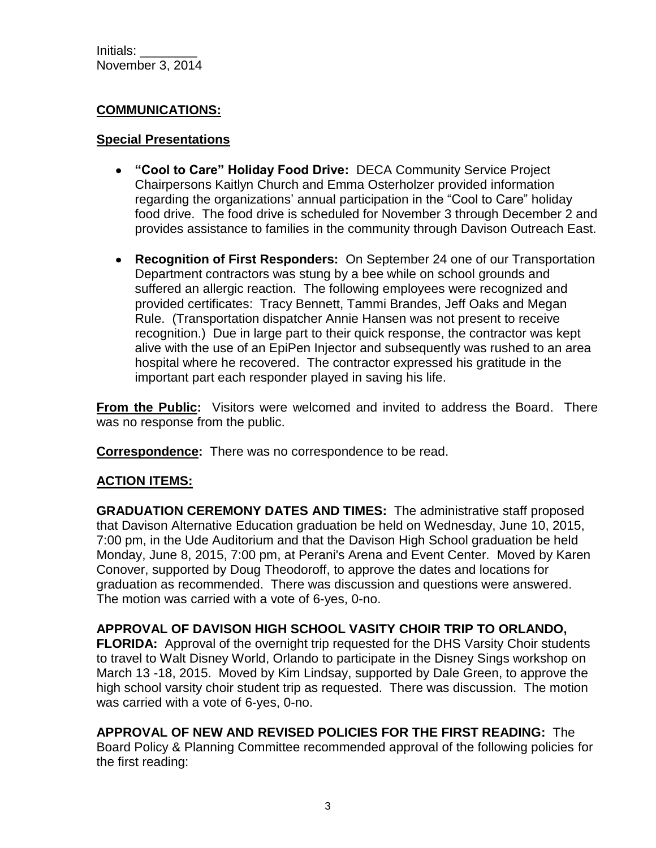#### **COMMUNICATIONS:**

#### **Special Presentations**

- **"Cool to Care" Holiday Food Drive:** DECA Community Service Project Chairpersons Kaitlyn Church and Emma Osterholzer provided information regarding the organizations' annual participation in the "Cool to Care" holiday food drive. The food drive is scheduled for November 3 through December 2 and provides assistance to families in the community through Davison Outreach East.
- **Recognition of First Responders:** On September 24 one of our Transportation Department contractors was stung by a bee while on school grounds and suffered an allergic reaction. The following employees were recognized and provided certificates: Tracy Bennett, Tammi Brandes, Jeff Oaks and Megan Rule. (Transportation dispatcher Annie Hansen was not present to receive recognition.) Due in large part to their quick response, the contractor was kept alive with the use of an EpiPen Injector and subsequently was rushed to an area hospital where he recovered. The contractor expressed his gratitude in the important part each responder played in saving his life.

**From the Public:** Visitors were welcomed and invited to address the Board. There was no response from the public.

**Correspondence:** There was no correspondence to be read.

# **ACTION ITEMS:**

**GRADUATION CEREMONY DATES AND TIMES:** The administrative staff proposed that Davison Alternative Education graduation be held on Wednesday, June 10, 2015, 7:00 pm, in the Ude Auditorium and that the Davison High School graduation be held Monday, June 8, 2015, 7:00 pm, at Perani's Arena and Event Center. Moved by Karen Conover, supported by Doug Theodoroff, to approve the dates and locations for graduation as recommended. There was discussion and questions were answered. The motion was carried with a vote of 6-yes, 0-no.

# **APPROVAL OF DAVISON HIGH SCHOOL VASITY CHOIR TRIP TO ORLANDO,**

**FLORIDA:** Approval of the overnight trip requested for the DHS Varsity Choir students to travel to Walt Disney World, Orlando to participate in the Disney Sings workshop on March 13 -18, 2015. Moved by Kim Lindsay, supported by Dale Green, to approve the high school varsity choir student trip as requested. There was discussion. The motion was carried with a vote of 6-yes, 0-no.

**APPROVAL OF NEW AND REVISED POLICIES FOR THE FIRST READING:** The Board Policy & Planning Committee recommended approval of the following policies for the first reading: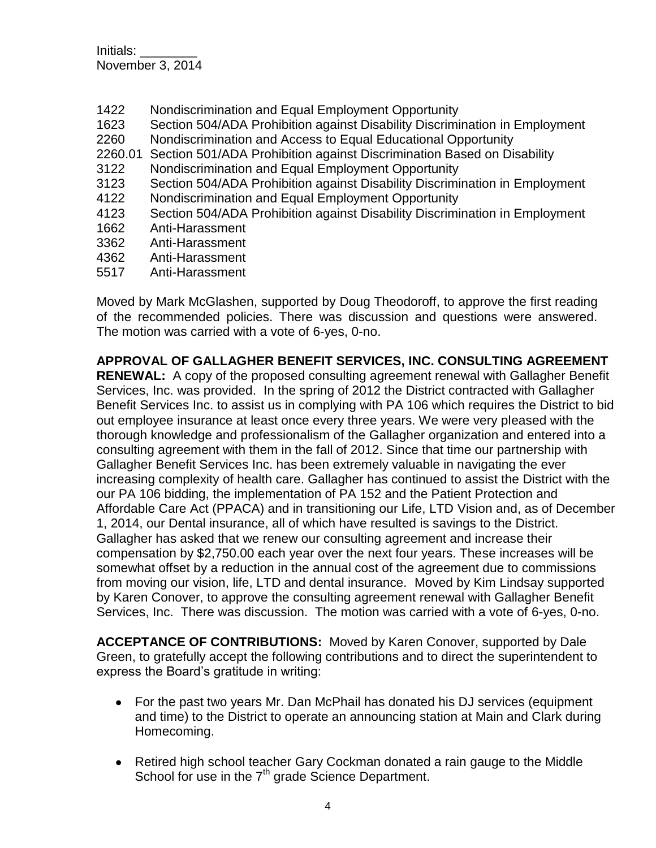- 1422 Nondiscrimination and Equal Employment Opportunity
- 1623 Section 504/ADA Prohibition against Disability Discrimination in Employment
- 2260 Nondiscrimination and Access to Equal Educational Opportunity
- 2260.01 Section 501/ADA Prohibition against Discrimination Based on Disability
- 3122 Nondiscrimination and Equal Employment Opportunity
- 3123 Section 504/ADA Prohibition against Disability Discrimination in Employment
- 4122 Nondiscrimination and Equal Employment Opportunity
- 4123 Section 504/ADA Prohibition against Disability Discrimination in Employment
- 1662 Anti-Harassment
- 3362 Anti-Harassment
- 4362 Anti-Harassment
- 5517 Anti-Harassment

Moved by Mark McGlashen, supported by Doug Theodoroff, to approve the first reading of the recommended policies. There was discussion and questions were answered. The motion was carried with a vote of 6-yes, 0-no.

**APPROVAL OF GALLAGHER BENEFIT SERVICES, INC. CONSULTING AGREEMENT RENEWAL:** A copy of the proposed consulting agreement renewal with Gallagher Benefit Services, Inc. was provided. In the spring of 2012 the District contracted with Gallagher Benefit Services Inc. to assist us in complying with PA 106 which requires the District to bid out employee insurance at least once every three years. We were very pleased with the thorough knowledge and professionalism of the Gallagher organization and entered into a consulting agreement with them in the fall of 2012. Since that time our partnership with Gallagher Benefit Services Inc. has been extremely valuable in navigating the ever increasing complexity of health care. Gallagher has continued to assist the District with the our PA 106 bidding, the implementation of PA 152 and the Patient Protection and Affordable Care Act (PPACA) and in transitioning our Life, LTD Vision and, as of December 1, 2014, our Dental insurance, all of which have resulted is savings to the District. Gallagher has asked that we renew our consulting agreement and increase their compensation by \$2,750.00 each year over the next four years. These increases will be somewhat offset by a reduction in the annual cost of the agreement due to commissions from moving our vision, life, LTD and dental insurance. Moved by Kim Lindsay supported by Karen Conover, to approve the consulting agreement renewal with Gallagher Benefit Services, Inc. There was discussion. The motion was carried with a vote of 6-yes, 0-no.

**ACCEPTANCE OF CONTRIBUTIONS:** Moved by Karen Conover, supported by Dale Green, to gratefully accept the following contributions and to direct the superintendent to express the Board's gratitude in writing:

- For the past two years Mr. Dan McPhail has donated his DJ services (equipment and time) to the District to operate an announcing station at Main and Clark during Homecoming.
- Retired high school teacher Gary Cockman donated a rain gauge to the Middle School for use in the 7<sup>th</sup> grade Science Department.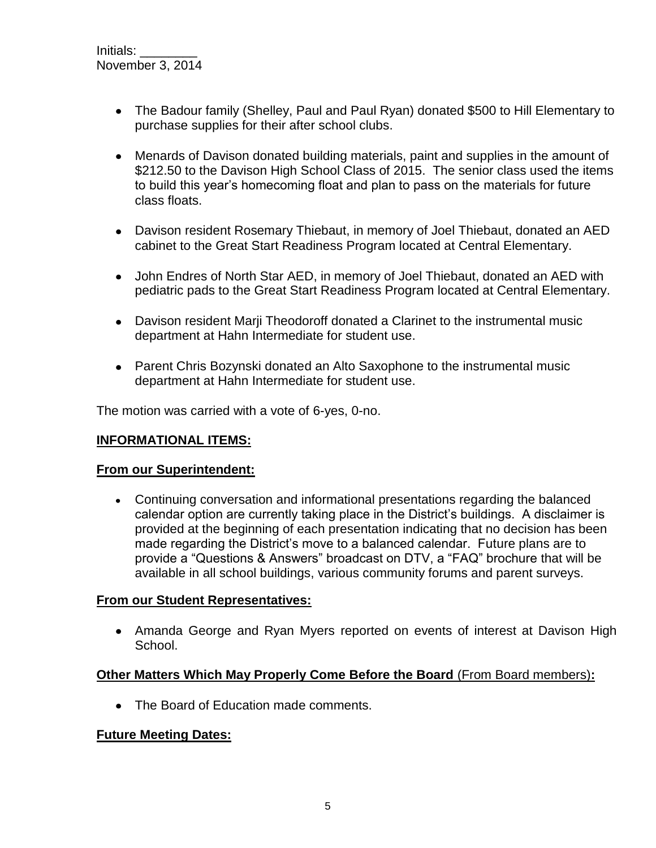- The Badour family (Shelley, Paul and Paul Ryan) donated \$500 to Hill Elementary to purchase supplies for their after school clubs.
- Menards of Davison donated building materials, paint and supplies in the amount of \$212.50 to the Davison High School Class of 2015. The senior class used the items to build this year's homecoming float and plan to pass on the materials for future class floats.
- Davison resident Rosemary Thiebaut, in memory of Joel Thiebaut, donated an AED cabinet to the Great Start Readiness Program located at Central Elementary.
- John Endres of North Star AED, in memory of Joel Thiebaut, donated an AED with pediatric pads to the Great Start Readiness Program located at Central Elementary.
- Davison resident Marji Theodoroff donated a Clarinet to the instrumental music department at Hahn Intermediate for student use.
- Parent Chris Bozynski donated an Alto Saxophone to the instrumental music department at Hahn Intermediate for student use.

The motion was carried with a vote of 6-yes, 0-no.

# **INFORMATIONAL ITEMS:**

#### **From our Superintendent:**

Continuing conversation and informational presentations regarding the balanced calendar option are currently taking place in the District's buildings. A disclaimer is provided at the beginning of each presentation indicating that no decision has been made regarding the District's move to a balanced calendar. Future plans are to provide a "Questions & Answers" broadcast on DTV, a "FAQ" brochure that will be available in all school buildings, various community forums and parent surveys.

#### **From our Student Representatives:**

• Amanda George and Ryan Myers reported on events of interest at Davison High School.

# **Other Matters Which May Properly Come Before the Board** (From Board members)**:**

• The Board of Education made comments.

# **Future Meeting Dates:**